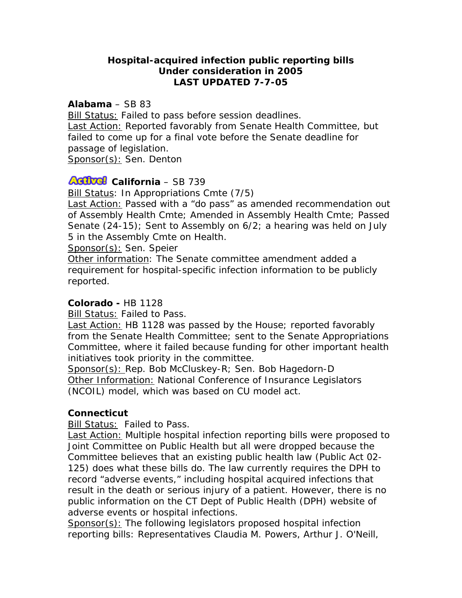# **Hospital-acquired infection public reporting bills Under consideration in 2005 LAST UPDATED 7-7-05**

#### **Alabama** – SB 83

Bill Status: Failed to pass before session deadlines. Last Action: Reported favorably from Senate Health Committee, but failed to come up for a final vote before the Senate deadline for passage of legislation. Sponsor(s): Sen. Denton

## **ACTUEL** California – SB 739

Bill Status: In Appropriations Cmte (7/5)

Last Action: Passed with a "do pass" as amended recommendation out of Assembly Health Cmte; Amended in Assembly Health Cmte; Passed Senate (24-15); Sent to Assembly on 6/2; a hearing was held on July 5 in the Assembly Cmte on Health.

Sponsor(s): Sen. Speier

Other information: The Senate committee amendment added a requirement for hospital-specific infection information to be publicly reported.

#### **Colorado -** HB 1128

Bill Status: Failed to Pass.

Last Action: HB 1128 was passed by the House; reported favorably from the Senate Health Committee; sent to the Senate Appropriations Committee, where it failed because funding for other important health initiatives took priority in the committee.

Sponsor(s): Rep. Bob McCluskey-R; Sen. Bob Hagedorn-D Other Information: National Conference of Insurance Legislators (NCOIL) model, which was based on CU model act.

## **Connecticut**

Bill Status: Failed to Pass.

**Last Action: Multiple hospital infection reporting bills were proposed to** Joint Committee on Public Health but all were dropped because the Committee believes that an existing public health law (Public Act 02- 125) does what these bills do. The law currently requires the DPH to record "adverse events," including hospital acquired infections that result in the death or serious injury of a patient. However, there is no public information on the CT Dept of Public Health (DPH) website of adverse events or hospital infections.

Sponsor(s): The following legislators proposed hospital infection reporting bills: Representatives Claudia M. Powers, Arthur J. O'Neill,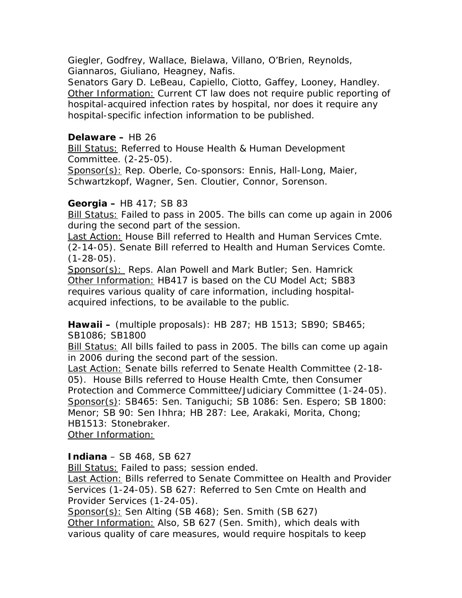Giegler, Godfrey, Wallace, Bielawa, Villano, O'Brien, Reynolds, Giannaros, Giuliano, Heagney, Nafis.

Senators Gary D. LeBeau, Capiello, Ciotto, Gaffey, Looney, Handley. Other Information: Current CT law does not require public reporting of hospital-acquired infection rates by hospital, nor does it require any hospital-specific infection information to be published.

# **Delaware –** HB 26

Bill Status: Referred to House Health & Human Development Committee. (2-25-05).

Sponsor(s): Rep. Oberle, Co-sponsors: Ennis, Hall-Long, Maier, Schwartzkopf, Wagner, Sen. Cloutier, Connor, Sorenson.

# **Georgia –** HB 417; SB 83

Bill Status: Failed to pass in 2005. The bills can come up again in 2006 during the second part of the session.

Last Action: House Bill referred to Health and Human Services Cmte. (2-14-05). Senate Bill referred to Health and Human Services Comte.  $(1-28-05)$ .

Sponsor(s): Reps. Alan Powell and Mark Butler; Sen. Hamrick Other Information: HB417 is based on the CU Model Act; SB83 requires various quality of care information, including hospitalacquired infections, to be available to the public.

**Hawaii –** (multiple proposals): HB 287; HB 1513; SB90; SB465; SB1086; SB1800

Bill Status: All bills failed to pass in 2005. The bills can come up again in 2006 during the second part of the session.

Last Action: Senate bills referred to Senate Health Committee (2-18- 05). House Bills referred to House Health Cmte, then Consumer Protection and Commerce Committee/Judiciary Committee (1-24-05). Sponsor(s): SB465: Sen. Taniguchi; SB 1086: Sen. Espero; SB 1800: Menor; SB 90: Sen Ihhra; HB 287: Lee, Arakaki, Morita, Chong; HB1513: Stonebraker.

Other Information:

# **Indiana** – SB 468, SB 627

Bill Status: Failed to pass; session ended.

Last Action: Bills referred to Senate Committee on Health and Provider Services (1-24-05). SB 627: Referred to Sen Cmte on Health and Provider Services (1-24-05).

Sponsor(s): Sen Alting (SB 468); Sen. Smith (SB 627) Other Information: Also, SB 627 (Sen. Smith), which deals with various quality of care measures, would require hospitals to keep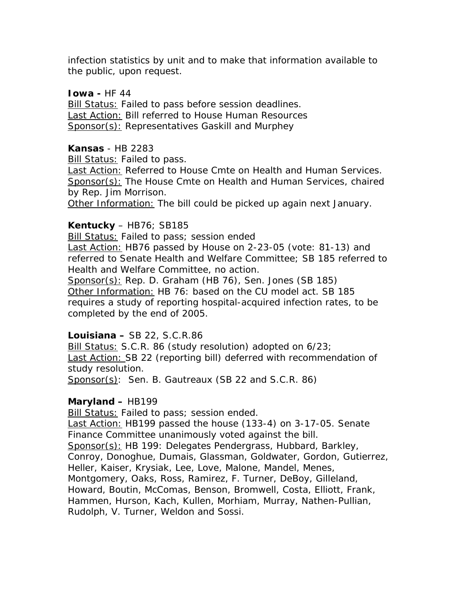infection statistics by unit and to make that information available to the public, upon request.

#### **Iowa - HF 44**

Bill Status: Failed to pass before session deadlines. Last Action: Bill referred to House Human Resources Sponsor(s): Representatives Gaskill and Murphey

#### **Kansas** - HB 2283

**Bill Status: Failed to pass.** 

Last Action: Referred to House Cmte on Health and Human Services. Sponsor(s): The House Cmte on Health and Human Services, chaired by Rep. Jim Morrison.

Other Information: The bill could be picked up again next January.

#### **Kentucky** – HB76; SB185

**Bill Status: Failed to pass; session ended** 

Last Action: HB76 passed by House on 2-23-05 (vote: 81-13) and referred to Senate Health and Welfare Committee; SB 185 referred to Health and Welfare Committee, no action.

Sponsor(s): Rep. D. Graham (HB 76), Sen. Jones (SB 185) Other Information: HB 76: based on the CU model act. SB 185 requires a study of reporting hospital-acquired infection rates, to be completed by the end of 2005.

## **Louisiana –** SB 22, S.C.R.86

Bill Status: S.C.R. 86 (study resolution) adopted on 6/23; Last Action: SB 22 (reporting bill) deferred with recommendation of study resolution.

Sponsor(s): Sen. B. Gautreaux (SB 22 and S.C.R. 86)

## **Maryland –** HB199

Bill Status: Failed to pass; session ended.

Last Action: HB199 passed the house (133-4) on 3-17-05. Senate Finance Committee unanimously voted against the bill.

Sponsor(s): HB 199: Delegates Pendergrass, Hubbard, Barkley, Conroy, Donoghue, Dumais, Glassman, Goldwater, Gordon, Gutierrez, Heller, Kaiser, Krysiak, Lee, Love, Malone, Mandel, Menes, Montgomery, Oaks, Ross, Ramirez, F. Turner, DeBoy, Gilleland, Howard, Boutin, McComas, Benson, Bromwell, Costa, Elliott, Frank, Hammen, Hurson, Kach, Kullen, Morhiam, Murray, Nathen-Pullian, Rudolph, V. Turner, Weldon and Sossi.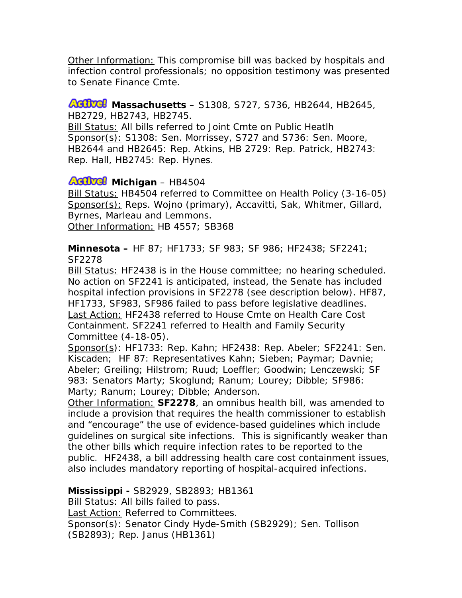Other Information: This compromise bill was backed by hospitals and infection control professionals; no opposition testimony was presented to Senate Finance Cmte.

#### **AGIVG** Massachusetts – S1308, S727, S736, HB2644, HB2645, HB2729, HB2743, HB2745.

Bill Status: All bills referred to Joint Cmte on Public Heatlh Sponsor(s): S1308: Sen. Morrissey, S727 and S736: Sen. Moore, HB2644 and HB2645: Rep. Atkins, HB 2729: Rep. Patrick, HB2743: Rep. Hall, HB2745: Rep. Hynes.

# **AGIVGI** Michigan – HB4504

Bill Status: HB4504 referred to Committee on Health Policy (3-16-05) Sponsor(s): Reps. Wojno (primary), Accavitti, Sak, Whitmer, Gillard, Byrnes, Marleau and Lemmons. Other Information: HB 4557; SB368

**Minnesota –** HF 87; HF1733; SF 983; SF 986; HF2438; SF2241; SF2278

Bill Status: HF2438 is in the House committee; no hearing scheduled. No action on SF2241 is anticipated, instead, the Senate has included hospital infection provisions in SF2278 (see description below). HF87, HF1733, SF983, SF986 failed to pass before legislative deadlines. Last Action: HF2438 referred to House Cmte on Health Care Cost Containment. SF2241 referred to Health and Family Security Committee (4-18-05).

Sponsor(s): HF1733: Rep. Kahn; HF2438: Rep. Abeler; SF2241: Sen. Kiscaden; HF 87: Representatives Kahn; Sieben; Paymar; Davnie; Abeler; Greiling; Hilstrom; Ruud; Loeffler; Goodwin; Lenczewski; SF 983: Senators Marty; Skoglund; Ranum; Lourey; Dibble; SF986: Marty; Ranum; Lourey; Dibble; Anderson.

Other Information: **SF2278**, an omnibus health bill, was amended to include a provision that requires the health commissioner to establish and "encourage" the use of evidence-based guidelines which include guidelines on surgical site infections. This is significantly weaker than the other bills which require infection rates to be reported to the public. HF2438, a bill addressing health care cost containment issues, also includes mandatory reporting of hospital-acquired infections.

**Mississippi -** SB2929, SB2893; HB1361

Bill Status: All bills failed to pass.

Last Action: Referred to Committees.

Sponsor(s): Senator Cindy Hyde-Smith (SB2929); Sen. Tollison (SB2893); Rep. Janus (HB1361)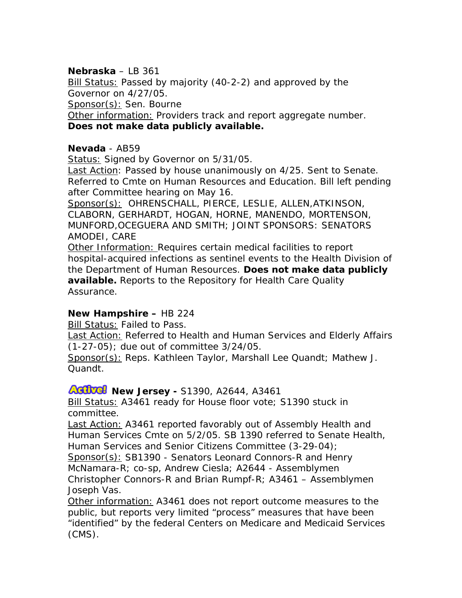# **Nebraska** – LB 361

Bill Status: Passed by majority (40-2-2) and approved by the Governor on 4/27/05.

Sponsor(s): Sen. Bourne

Other information: Providers track and report aggregate number. **Does not make data publicly available.** 

### **Nevada** - AB59

Status: Signed by Governor on 5/31/05.

Last Action: Passed by house unanimously on 4/25. Sent to Senate. Referred to Cmte on Human Resources and Education. Bill left pending after Committee hearing on May 16.

Sponsor(s): OHRENSCHALL, PIERCE, LESLIE, ALLEN,ATKINSON, CLABORN, GERHARDT, HOGAN, HORNE, MANENDO, MORTENSON, MUNFORD,OCEGUERA AND SMITH; JOINT SPONSORS: SENATORS AMODEI, CARE

Other Information: Requires certain medical facilities to report hospital-acquired infections as sentinel events to the Health Division of the Department of Human Resources. **Does not make data publicly available.** Reports to the Repository for Health Care Quality Assurance.

## **New Hampshire –** HB 224

Bill Status: Failed to Pass.

**Last Action: Referred to Health and Human Services and Elderly Affairs** (1-27-05); due out of committee 3/24/05.

Sponsor(s): Reps. Kathleen Taylor, Marshall Lee Quandt; Mathew J. Quandt.

## **AGIVG!** New Jersey - S1390, A2644, A3461

Bill Status: A3461 ready for House floor vote; S1390 stuck in committee.

Last Action: A3461 reported favorably out of Assembly Health and Human Services Cmte on 5/2/05. SB 1390 referred to Senate Health, Human Services and Senior Citizens Committee (3-29-04); Sponsor(s): SB1390 - Senators Leonard Connors-R and Henry McNamara-R; co-sp, Andrew Ciesla; A2644 - Assemblymen Christopher Connors-R and Brian Rumpf-R; A3461 – Assemblymen

Joseph Vas.

Other information: A3461 does not report outcome measures to the public, but reports very limited "process" measures that have been "identified" by the federal Centers on Medicare and Medicaid Services (CMS).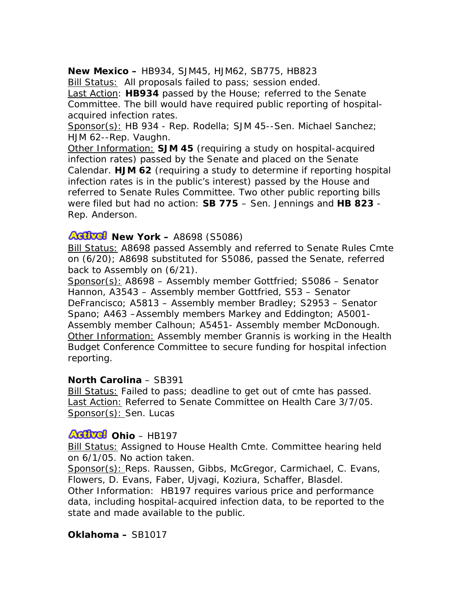### **New Mexico –** HB934, SJM45, HJM62, SB775, HB823

Bill Status: All proposals failed to pass; session ended.

Last Action: **HB934** passed by the House; referred to the Senate Committee. The bill would have required public reporting of hospitalacquired infection rates.

Sponsor(s): HB 934 - Rep. Rodella; SJM 45--Sen. Michael Sanchez; HJM 62--Rep. Vaughn.

Other Information: **SJM 45** (requiring a study on hospital-acquired infection rates) passed by the Senate and placed on the Senate Calendar. **HJM 62** (requiring a study to determine if reporting hospital infection rates is in the public's interest) passed by the House and referred to Senate Rules Committee. Two other public reporting bills were filed but had no action: **SB 775** – Sen. Jennings and **HB 823** - Rep. Anderson.

## **Adjuel** New York – A8698 (S5086)

Bill Status: A8698 passed Assembly and referred to Senate Rules Cmte on (6/20); A8698 substituted for S5086, passed the Senate, referred back to Assembly on (6/21).

Sponsor(s): A8698 – Assembly member Gottfried; S5086 – Senator Hannon, A3543 – Assembly member Gottfried, S53 – Senator DeFrancisco; A5813 – Assembly member Bradley; S2953 – Senator Spano; A463 –Assembly members Markey and Eddington; A5001- Assembly member Calhoun; A5451- Assembly member McDonough. Other Information: Assembly member Grannis is working in the Health Budget Conference Committee to secure funding for hospital infection reporting.

#### **North Carolina** – SB391

Bill Status: Failed to pass; deadline to get out of cmte has passed. Last Action: Referred to Senate Committee on Health Care 3/7/05. Sponsor(s): Sen. Lucas

## **Adivel Ohio** – HB197

Bill Status: Assigned to House Health Cmte. Committee hearing held on 6/1/05. No action taken.

Sponsor(s): Reps. Raussen, Gibbs, McGregor, Carmichael, C. Evans, Flowers, D. Evans, Faber, Ujvagi, Koziura, Schaffer, Blasdel.

Other Information: HB197 requires various price and performance data, including hospital-acquired infection data, to be reported to the state and made available to the public.

#### **Oklahoma –** SB1017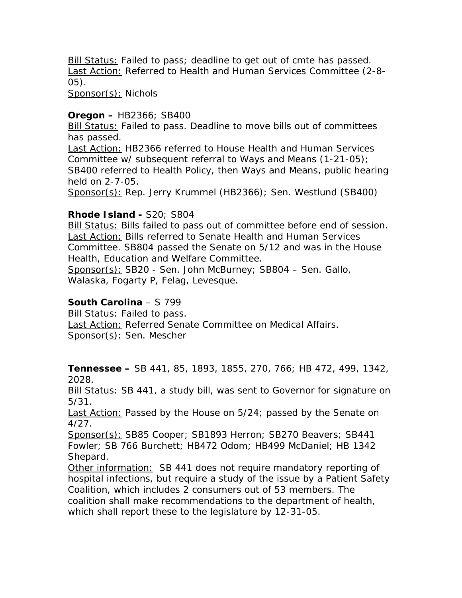Bill Status: Failed to pass; deadline to get out of cmte has passed. Last Action: Referred to Health and Human Services Committee (2-8- 05).

Sponsor(s): Nichols

#### **Oregon –** HB2366; SB400

Bill Status: Failed to pass. Deadline to move bills out of committees has passed.

Last Action: HB2366 referred to House Health and Human Services Committee w/ subsequent referral to Ways and Means (1-21-05); SB400 referred to Health Policy, then Ways and Means, public hearing held on 2-7-05.

Sponsor(s): Rep. Jerry Krummel (HB2366); Sen. Westlund (SB400)

## **Rhode Island -** S20; S804

Bill Status: Bills failed to pass out of committee before end of session. **Last Action: Bills referred to Senate Health and Human Services** Committee. SB804 passed the Senate on 5/12 and was in the House Health, Education and Welfare Committee.

Sponsor(s): SB20 - Sen. John McBurney; SB804 – Sen. Gallo, Walaska, Fogarty P, Felag, Levesque.

### **South Carolina** – S 799

Bill Status: Failed to pass. Last Action: Referred Senate Committee on Medical Affairs. Sponsor(s): Sen. Mescher

**Tennessee –** SB 441, 85, 1893, 1855, 270, 766; HB 472, 499, 1342, 2028.

Bill Status: SB 441, a study bill, was sent to Governor for signature on 5/31.

Last Action: Passed by the House on 5/24; passed by the Senate on 4/27.

Sponsor(s): SB85 Cooper; SB1893 Herron; SB270 Beavers; SB441 Fowler; SB 766 Burchett; HB472 Odom; HB499 McDaniel; HB 1342 Shepard.

Other information: SB 441 does not require mandatory reporting of hospital infections, but require a study of the issue by a Patient Safety Coalition, which includes 2 consumers out of 53 members. The coalition shall make recommendations to the department of health, which shall report these to the legislature by 12-31-05.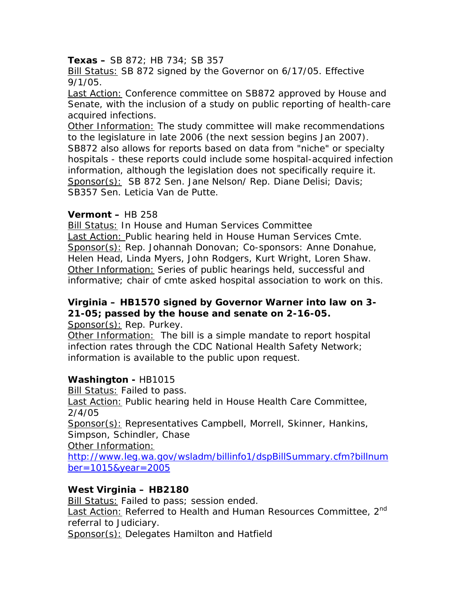#### **Texas –** SB 872; HB 734; SB 357

Bill Status: SB 872 signed by the Governor on 6/17/05. Effective 9/1/05.

Last Action: Conference committee on SB872 approved by House and Senate, with the inclusion of a study on public reporting of health-care acquired infections.

Other Information: The study committee will make recommendations to the legislature in late 2006 (the next session begins Jan 2007). SB872 also allows for reports based on data from "niche" or specialty hospitals - these reports could include some hospital-acquired infection information, although the legislation does not specifically require it. Sponsor(s): SB 872 Sen. Jane Nelson/ Rep. Diane Delisi; Davis; SB357 Sen. Leticia Van de Putte.

#### **Vermont –** HB 258

Bill Status: In House and Human Services Committee **Last Action: Public hearing held in House Human Services Cmte.** Sponsor(s): Rep. Johannah Donovan; Co-sponsors: Anne Donahue, Helen Head, Linda Myers, John Rodgers, Kurt Wright, Loren Shaw. Other Information: Series of public hearings held, successful and informative; chair of cmte asked hospital association to work on this.

# **Virginia – HB1570 signed by Governor Warner into law on 3- 21-05; passed by the house and senate on 2-16-05.**

Sponsor(s): Rep. Purkey.

Other Information: The bill is a simple mandate to report hospital infection rates through the CDC National Health Safety Network; information is available to the public upon request.

## **Washington -** HB1015

**Bill Status: Failed to pass.** Last Action: Public hearing held in House Health Care Committee, 2/4/05

Sponsor(s): Representatives Campbell, Morrell, Skinner, Hankins, Simpson, Schindler, Chase

Other Information:

[http://www.leg.wa.gov/wsladm/billinfo1/dspBillSummary.cfm?billnum](http://www.leg.wa.gov/wsladm/billinfo1/dspBillSummary.cfm?billnumber=1015&year=2005) [ber=1015&year=2005](http://www.leg.wa.gov/wsladm/billinfo1/dspBillSummary.cfm?billnumber=1015&year=2005) 

## **West Virginia – HB2180**

**Bill Status: Failed to pass; session ended.** Last Action: Referred to Health and Human Resources Committee. 2<sup>nd</sup> referral to Judiciary.

Sponsor(s): Delegates Hamilton and Hatfield